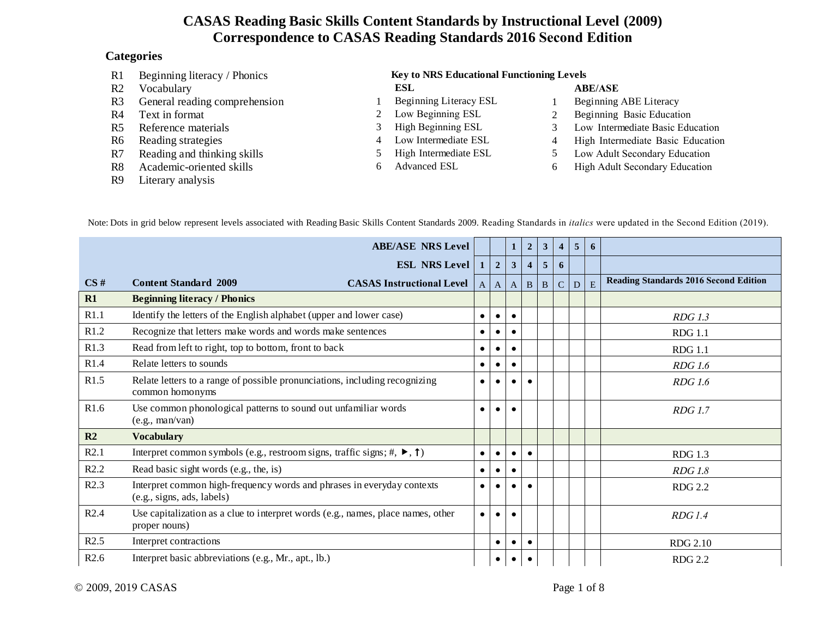#### **Categories**

| R <sub>1</sub> | Beginning literacy / Phonics  | <b>Key to NRS Educational Functioning Levels</b> |                        |   |                                   |  |  |  |  |  |
|----------------|-------------------------------|--------------------------------------------------|------------------------|---|-----------------------------------|--|--|--|--|--|
| R <sub>2</sub> | Vocabulary                    |                                                  | <b>ESL</b>             |   | <b>ABE/ASE</b>                    |  |  |  |  |  |
| R <sub>3</sub> | General reading comprehension |                                                  | Beginning Literacy ESL |   | Beginning ABE Literacy            |  |  |  |  |  |
| R4             | Text in format                |                                                  | Low Beginning ESL      |   | Beginning Basic Education         |  |  |  |  |  |
| R5             | Reference materials           |                                                  | High Beginning ESL     |   | Low Intermediate Basic Education  |  |  |  |  |  |
| R6             | Reading strategies            | 4                                                | Low Intermediate ESL   | 4 | High Intermediate Basic Education |  |  |  |  |  |
| R7             | Reading and thinking skills   |                                                  | High Intermediate ESL  |   | Low Adult Secondary Education     |  |  |  |  |  |
| R8             | Academic-oriented skills      | h.                                               | <b>Advanced ESL</b>    | 6 | High Adult Secondary Education    |  |  |  |  |  |
| R9             | Literary analysis             |                                                  |                        |   |                                   |  |  |  |  |  |
|                |                               |                                                  |                        |   |                                   |  |  |  |  |  |

Note: Dots in grid below represent levels associated with Reading Basic Skills Content Standards 2009. Reading Standards in *italics* were updated in the Second Edition (2019).

|      | <b>ABE/ASE NRS Level</b>                                                                               |                |                | $\mathbf 1$       | $\overline{2}$          | 3              | $\overline{\mathbf{4}}$ | $\overline{5}$ | 6 |                                              |
|------|--------------------------------------------------------------------------------------------------------|----------------|----------------|-------------------|-------------------------|----------------|-------------------------|----------------|---|----------------------------------------------|
|      | <b>ESL NRS Level</b>                                                                                   | 1 <sup>1</sup> | $\overline{2}$ | $\mathbf{3}$      | $\overline{\mathbf{4}}$ | $\overline{5}$ | 6                       |                |   |                                              |
| CS#  | <b>Content Standard 2009</b><br><b>CASAS Instructional Level</b>                                       | $\mathbf{A}$   | $\mathbf{A}$   | $\vert$ A $\vert$ | B                       | B              | $\mathcal{C}$           | D              | E | <b>Reading Standards 2016 Second Edition</b> |
| R1   | <b>Beginning literacy / Phonics</b>                                                                    |                |                |                   |                         |                |                         |                |   |                                              |
| R1.1 | Identify the letters of the English alphabet (upper and lower case)                                    | $\bullet$      | $\bullet$      | $\bullet$         |                         |                |                         |                |   | <b>RDG</b> 1.3                               |
| R1.2 | Recognize that letters make words and words make sentences                                             | $\bullet$      | $\bullet$      | $\bullet$         |                         |                |                         |                |   | <b>RDG</b> 1.1                               |
| R1.3 | Read from left to right, top to bottom, front to back                                                  | $\bullet$      |                | $\bullet$         |                         |                |                         |                |   | <b>RDG</b> 1.1                               |
| R1.4 | Relate letters to sounds                                                                               | ٠              |                | $\bullet$         |                         |                |                         |                |   | <b>RDG</b> 1.6                               |
| R1.5 | Relate letters to a range of possible pronunciations, including recognizing<br>common homonyms         | $\bullet$      |                |                   |                         |                |                         |                |   | <b>RDG</b> 1.6                               |
| R1.6 | Use common phonological patterns to sound out unfamiliar words<br>(e.g., man/van)                      | $\bullet$      |                | $\bullet$         |                         |                |                         |                |   | <b>RDG</b> 1.7                               |
| R2   | <b>Vocabulary</b>                                                                                      |                |                |                   |                         |                |                         |                |   |                                              |
| R2.1 | Interpret common symbols (e.g., restroom signs, traffic signs; #, $\blacktriangleright$ , $\uparrow$ ) | $\bullet$      | $\bullet$      | $\bullet$         | $\bullet$               |                |                         |                |   | <b>RDG</b> 1.3                               |
| R2.2 | Read basic sight words (e.g., the, is)                                                                 | $\bullet$      |                | $\bullet$         |                         |                |                         |                |   | <b>RDG</b> 1.8                               |
| R2.3 | Interpret common high-frequency words and phrases in everyday contexts<br>(e.g., signs, ads, labels)   | $\bullet$      | $\bullet$      | $\bullet$         |                         |                |                         |                |   | <b>RDG 2.2</b>                               |
| R2.4 | Use capitalization as a clue to interpret words (e.g., names, place names, other<br>proper nouns)      | $\bullet$      |                | $\bullet$         |                         |                |                         |                |   | RDG1.4                                       |
| R2.5 | Interpret contractions                                                                                 |                | $\bullet$      | $\bullet$         | $\bullet$               |                |                         |                |   | <b>RDG 2.10</b>                              |
| R2.6 | Interpret basic abbreviations (e.g., Mr., apt., lb.)                                                   |                |                | $\bullet$         |                         |                |                         |                |   | <b>RDG 2.2</b>                               |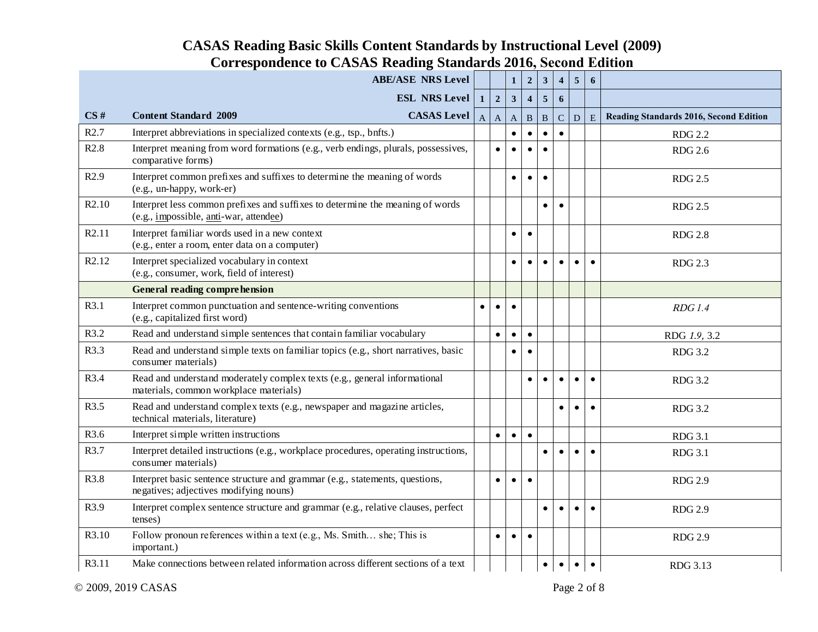|                   | <b>ABE/ASE NRS Level</b>                                                                                                                |                |                | $\mathbf{1}$            | $\boldsymbol{2}$        | $\mathbf{3}$ | $\overline{4}$ | $5\overline{)}$ | 6           |                                               |
|-------------------|-----------------------------------------------------------------------------------------------------------------------------------------|----------------|----------------|-------------------------|-------------------------|--------------|----------------|-----------------|-------------|-----------------------------------------------|
|                   | <b>ESL NRS Level</b>                                                                                                                    | $\mathbf{1}$   | $\overline{2}$ | $\overline{\mathbf{3}}$ | $\overline{\mathbf{4}}$ | $\sqrt{5}$   | 6              |                 |             |                                               |
| CS#               | <b>CASAS</b> Level<br><b>Content Standard 2009</b>                                                                                      | $\overline{A}$ | $\mathbf{A}$   | $\overline{A}$          | $\mathbf B$             | B            | $\mathbf C$    | D               | $\mathbf E$ | <b>Reading Standards 2016, Second Edition</b> |
| R2.7              | Interpret abbreviations in specialized contexts (e.g., tsp., bnfts.)                                                                    |                |                | $\bullet$               |                         | $\bullet$    | $\bullet$      |                 |             | <b>RDG 2.2</b>                                |
| R2.8              | Interpret meaning from word formations (e.g., verb endings, plurals, possessives,<br>comparative forms)                                 |                | $\bullet$      | $\bullet$               |                         | $\bullet$    |                |                 |             | <b>RDG 2.6</b>                                |
| R2.9              | Interpret common prefixes and suffixes to determine the meaning of words<br>(e.g., un-happy, work-er)                                   |                |                | $\bullet$               |                         | $\bullet$    |                |                 |             | <b>RDG 2.5</b>                                |
| R <sub>2.10</sub> | Interpret less common prefixes and suffixes to determine the meaning of words<br>(e.g., <i>impossible</i> , <i>anti</i> -war, attendee) |                |                |                         |                         | $\bullet$    | $\bullet$      |                 |             | <b>RDG 2.5</b>                                |
| R <sub>2.11</sub> | Interpret familiar words used in a new context<br>(e.g., enter a room, enter data on a computer)                                        |                |                | $\bullet$               | $\bullet$               |              |                |                 |             | <b>RDG 2.8</b>                                |
| R <sub>2.12</sub> | Interpret specialized vocabulary in context<br>(e.g., consumer, work, field of interest)                                                |                |                | $\bullet$               | $\bullet$               | $\bullet$    | $\bullet$      | $\bullet$       | $\bullet$   | <b>RDG 2.3</b>                                |
|                   | <b>General reading comprehension</b>                                                                                                    |                |                |                         |                         |              |                |                 |             |                                               |
| R3.1              | Interpret common punctuation and sentence-writing conventions<br>(e.g., capitalized first word)                                         | $\bullet$      | $\bullet$      | $\bullet$               |                         |              |                |                 |             | RDG1.4                                        |
| R3.2              | Read and understand simple sentences that contain familiar vocabulary                                                                   |                | $\bullet$      | $\bullet$               | $\bullet$               |              |                |                 |             | RDG 1.9, 3.2                                  |
| R3.3              | Read and understand simple texts on familiar topics (e.g., short narratives, basic<br>consumer materials)                               |                |                | $\bullet$               | $\bullet$               |              |                |                 |             | <b>RDG 3.2</b>                                |
| R3.4              | Read and understand moderately complex texts (e.g., general informational<br>materials, common workplace materials)                     |                |                |                         | $\bullet$               | $\bullet$    | $\bullet$      | $\bullet$       | $\bullet$   | <b>RDG 3.2</b>                                |
| R3.5              | Read and understand complex texts (e.g., newspaper and magazine articles,<br>technical materials, literature)                           |                |                |                         |                         |              | $\bullet$      |                 | $\bullet$   | <b>RDG 3.2</b>                                |
| R3.6              | Interpret simple written instructions                                                                                                   |                | $\bullet$      | $\bullet$               | $\bullet$               |              |                |                 |             | <b>RDG 3.1</b>                                |
| R3.7              | Interpret detailed instructions (e.g., workplace procedures, operating instructions,<br>consumer materials)                             |                |                |                         |                         | $\bullet$    | $\bullet$      | $\bullet$       | $\bullet$   | <b>RDG 3.1</b>                                |
| R3.8              | Interpret basic sentence structure and grammar (e.g., statements, questions,<br>negatives; adjectives modifying nouns)                  |                | $\bullet$      | $\bullet$               | $\bullet$               |              |                |                 |             | <b>RDG 2.9</b>                                |
| R3.9              | Interpret complex sentence structure and grammar (e.g., relative clauses, perfect<br>tenses)                                            |                |                |                         |                         | $\bullet$    | $\bullet$      | $\bullet$       | $\bullet$   | <b>RDG 2.9</b>                                |
| R3.10             | Follow pronoun references within a text (e.g., Ms. Smith she; This is<br>important.)                                                    |                | $\bullet$      | $\bullet$               | $\bullet$               |              |                |                 |             | <b>RDG 2.9</b>                                |
| R3.11             | Make connections between related information across different sections of a text                                                        |                |                |                         |                         | $\bullet$    | $\bullet$      | $\bullet$       | $\bullet$   | RDG 3.13                                      |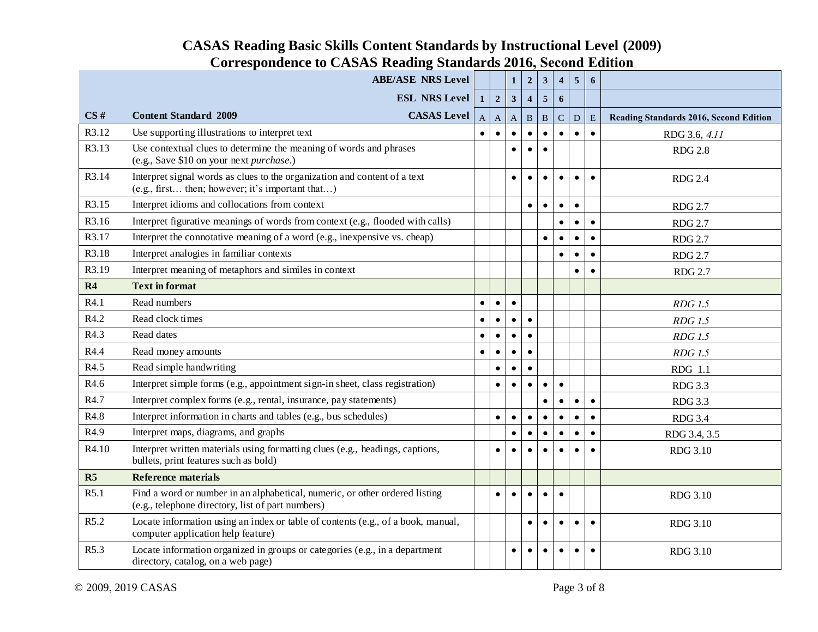|                | <b>ABE/ASE NRS Level</b>                                                                                                         |           |              | $\mathbf{1}$ | $\overline{2}$   | $\overline{\mathbf{3}}$ | $\overline{\mathbf{4}}$ | 5 <sup>5</sup> | 6         |                                        |
|----------------|----------------------------------------------------------------------------------------------------------------------------------|-----------|--------------|--------------|------------------|-------------------------|-------------------------|----------------|-----------|----------------------------------------|
|                | <b>ESL NRS Level</b>                                                                                                             | $1\vert$  | $\mathbf 2$  | $\mathbf{3}$ | $\boldsymbol{4}$ | $\overline{\mathbf{5}}$ | 6                       |                |           |                                        |
| CS#            | <b>Content Standard 2009</b><br><b>CASAS</b> Level                                                                               | A         | $\mathbf{A}$ | $\mathbf{A}$ | $\, {\bf B}$     | B                       | $\mathcal{C}$           | $\overline{D}$ | E         | Reading Standards 2016, Second Edition |
| R3.12          | Use supporting illustrations to interpret text                                                                                   |           | $\bullet$    | $\bullet$    |                  | $\bullet$               | $\bullet$               | $\bullet$      | $\bullet$ | RDG 3.6, 4.11                          |
| R3.13          | Use contextual clues to determine the meaning of words and phrases<br>(e.g., Save \$10 on your next purchase.)                   |           |              | $\bullet$    |                  | $\bullet$               |                         |                |           | <b>RDG 2.8</b>                         |
| R3.14          | Interpret signal words as clues to the organization and content of a text<br>(e.g., first then; however; it's important that)    |           |              | $\bullet$    |                  |                         | $\bullet$               |                | $\bullet$ | <b>RDG 2.4</b>                         |
| R3.15          | Interpret idioms and collocations from context                                                                                   |           |              |              | $\bullet$        | $\bullet$               | $\bullet$               | $\bullet$      |           | <b>RDG 2.7</b>                         |
| R3.16          | Interpret figurative meanings of words from context (e.g., flooded with calls)                                                   |           |              |              |                  |                         | $\bullet$               | $\bullet$      | $\bullet$ | <b>RDG 2.7</b>                         |
| R3.17          | Interpret the connotative meaning of a word (e.g., inexpensive vs. cheap)                                                        |           |              |              |                  | $\bullet$               | $\bullet$               | $\bullet$      | $\bullet$ | <b>RDG 2.7</b>                         |
| R3.18          | Interpret analogies in familiar contexts                                                                                         |           |              |              |                  |                         | $\bullet$               | $\bullet$      | $\bullet$ | <b>RDG 2.7</b>                         |
| R3.19          | Interpret meaning of metaphors and similes in context                                                                            |           |              |              |                  |                         |                         | $\bullet$      | $\bullet$ | <b>RDG 2.7</b>                         |
| R4             | <b>Text in format</b>                                                                                                            |           |              |              |                  |                         |                         |                |           |                                        |
| R4.1           | Read numbers                                                                                                                     | $\bullet$ | $\bullet$    | $\bullet$    |                  |                         |                         |                |           | <b>RDG</b> 1.5                         |
| R4.2           | Read clock times                                                                                                                 | $\bullet$ | $\bullet$    |              | $\bullet$        |                         |                         |                |           | <b>RDG</b> 1.5                         |
| R4.3           | Read dates                                                                                                                       | $\bullet$ | $\bullet$    | $\bullet$    | $\bullet$        |                         |                         |                |           | <b>RDG</b> 1.5                         |
| R4.4           | Read money amounts                                                                                                               | $\bullet$ | $\bullet$    | $\bullet$    | $\bullet$        |                         |                         |                |           | <b>RDG</b> 1.5                         |
| R4.5           | Read simple handwriting                                                                                                          |           | $\bullet$    | $\bullet$    | $\bullet$        |                         |                         |                |           | RDG 1.1                                |
| R4.6           | Interpret simple forms (e.g., appointment sign-in sheet, class registration)                                                     |           | $\bullet$    | $\bullet$    | $\bullet$        | $\bullet$               | $\bullet$               |                |           | <b>RDG 3.3</b>                         |
| R4.7           | Interpret complex forms (e.g., rental, insurance, pay statements)                                                                |           |              |              |                  | $\bullet$               | $\bullet$               | $\bullet$      | $\bullet$ | <b>RDG 3.3</b>                         |
| R4.8           | Interpret information in charts and tables (e.g., bus schedules)                                                                 |           | $\bullet$    | $\bullet$    | $\bullet$        | $\bullet$               | $\bullet$               | $\bullet$      | $\bullet$ | <b>RDG 3.4</b>                         |
| R4.9           | Interpret maps, diagrams, and graphs                                                                                             |           |              | $\bullet$    | $\bullet$        | $\bullet$               | $\bullet$               | $\bullet$      | $\bullet$ | RDG 3.4, 3.5                           |
| R4.10          | Interpret written materials using formatting clues (e.g., headings, captions,<br>bullets, print features such as bold)           |           | $\bullet$    | $\bullet$    | $\bullet$        | $\bullet$               | $\bullet$               | $\bullet$      | $\bullet$ | <b>RDG 3.10</b>                        |
| R <sub>5</sub> | <b>Reference materials</b>                                                                                                       |           |              |              |                  |                         |                         |                |           |                                        |
| R5.1           | Find a word or number in an alphabetical, numeric, or other ordered listing<br>(e.g., telephone directory, list of part numbers) |           | $\bullet$    | $\bullet$    | $\bullet$        | $\bullet$               | $\bullet$               |                |           | <b>RDG 3.10</b>                        |
| R5.2           | Locate information using an index or table of contents (e.g., of a book, manual,<br>computer application help feature)           |           |              |              | $\bullet$        | $\bullet$               | $\bullet$               | $\bullet$      | $\bullet$ | <b>RDG 3.10</b>                        |
| R5.3           | Locate information organized in groups or categories (e.g., in a department<br>directory, catalog, on a web page)                |           |              | $\bullet$    | $\bullet$        | $\bullet$               | $\bullet$               | $\bullet$      | $\bullet$ | <b>RDG 3.10</b>                        |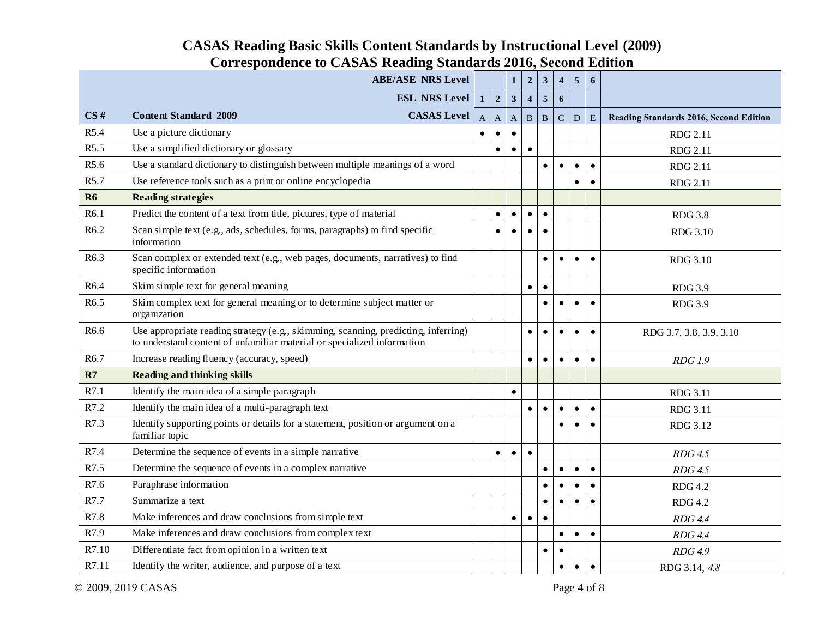|                  | <b>ABE/ASE NRS Level</b>                                                                                                                                      |              |                | $\mathbf{1}$ | $\boldsymbol{2}$ | $\mathbf{3}$ | $\overline{\mathbf{4}}$ | 5 <sup>5</sup> | 6         |                                               |
|------------------|---------------------------------------------------------------------------------------------------------------------------------------------------------------|--------------|----------------|--------------|------------------|--------------|-------------------------|----------------|-----------|-----------------------------------------------|
|                  | <b>ESL NRS Level</b>                                                                                                                                          | $1\vert$     | $\overline{2}$ | $\mathbf{3}$ | $\overline{4}$   | 5            | 6                       |                |           |                                               |
| CS#              | <b>CASAS</b> Level<br><b>Content Standard 2009</b>                                                                                                            | $\mathbf{A}$ | $\overline{A}$ | $\mathbf{A}$ | $\mathbf{B}$     | $\mathbf{B}$ | $\mathbf C$             | ${\bf D}$      | E         | <b>Reading Standards 2016, Second Edition</b> |
| R5.4             | Use a picture dictionary                                                                                                                                      | $\bullet$    | $\bullet$      | $\bullet$    |                  |              |                         |                |           | <b>RDG 2.11</b>                               |
| R5.5             | Use a simplified dictionary or glossary                                                                                                                       |              | $\bullet$      | $\bullet$    | $\bullet$        |              |                         |                |           | <b>RDG 2.11</b>                               |
| R5.6             | Use a standard dictionary to distinguish between multiple meanings of a word                                                                                  |              |                |              |                  | $\bullet$    | $\bullet$               | $\bullet$      | $\bullet$ | <b>RDG 2.11</b>                               |
| R5.7             | Use reference tools such as a print or online encyclopedia                                                                                                    |              |                |              |                  |              |                         | $\bullet$      | $\bullet$ | <b>RDG 2.11</b>                               |
| <b>R6</b>        | <b>Reading strategies</b>                                                                                                                                     |              |                |              |                  |              |                         |                |           |                                               |
| R6.1             | Predict the content of a text from title, pictures, type of material                                                                                          |              | $\bullet$      | $\bullet$    | $\bullet$        | $\bullet$    |                         |                |           | <b>RDG 3.8</b>                                |
| R <sub>6.2</sub> | Scan simple text (e.g., ads, schedules, forms, paragraphs) to find specific<br>information                                                                    |              | $\bullet$      |              |                  | $\bullet$    |                         |                |           | RDG 3.10                                      |
| R6.3             | Scan complex or extended text (e.g., web pages, documents, narratives) to find<br>specific information                                                        |              |                |              |                  | $\bullet$    | $\bullet$               | $\bullet$      | $\bullet$ | RDG 3.10                                      |
| R6.4             | Skim simple text for general meaning                                                                                                                          |              |                |              | $\bullet$        | $\bullet$    |                         |                |           | <b>RDG 3.9</b>                                |
| R6.5             | Skim complex text for general meaning or to determine subject matter or<br>organization                                                                       |              |                |              |                  | $\bullet$    | $\bullet$               | $\bullet$      | $\bullet$ | <b>RDG 3.9</b>                                |
| R6.6             | Use appropriate reading strategy (e.g., skimming, scanning, predicting, inferring)<br>to understand content of unfamiliar material or specialized information |              |                |              | $\bullet$        | $\bullet$    | $\bullet$               | $\bullet$      | $\bullet$ | RDG 3.7, 3.8, 3.9, 3.10                       |
| R6.7             | Increase reading fluency (accuracy, speed)                                                                                                                    |              |                |              | $\bullet$        | $\bullet$    | $\bullet$               | $\bullet$      | $\bullet$ | <b>RDG</b> 1.9                                |
| R7               | <b>Reading and thinking skills</b>                                                                                                                            |              |                |              |                  |              |                         |                |           |                                               |
| R7.1             | Identify the main idea of a simple paragraph                                                                                                                  |              |                | $\bullet$    |                  |              |                         |                |           | RDG 3.11                                      |
| R7.2             | Identify the main idea of a multi-paragraph text                                                                                                              |              |                |              | $\bullet$        | $\bullet$    | $\bullet$               | $\bullet$      | $\bullet$ | RDG 3.11                                      |
| R7.3             | Identify supporting points or details for a statement, position or argument on a<br>familiar topic                                                            |              |                |              |                  |              | $\bullet$               |                | $\bullet$ | RDG 3.12                                      |
| R7.4             | Determine the sequence of events in a simple narrative                                                                                                        |              | $\bullet$      | $\bullet$    | $\bullet$        |              |                         |                |           | $RDG$ 4.5                                     |
| R7.5             | Determine the sequence of events in a complex narrative                                                                                                       |              |                |              |                  | $\bullet$    | $\bullet$               | $\bullet$      | $\bullet$ | $RDG$ 4.5                                     |
| R7.6             | Paraphrase information                                                                                                                                        |              |                |              |                  | $\bullet$    | $\bullet$               | $\bullet$      | $\bullet$ | <b>RDG 4.2</b>                                |
| R7.7             | Summarize a text                                                                                                                                              |              |                |              |                  | $\bullet$    | $\bullet$               | $\bullet$      | $\bullet$ | <b>RDG 4.2</b>                                |
| R7.8             | Make inferences and draw conclusions from simple text                                                                                                         |              |                | $\bullet$    | $\bullet$        | $\bullet$    |                         |                |           | <b>RDG 4.4</b>                                |
| R7.9             | Make inferences and draw conclusions from complex text                                                                                                        |              |                |              |                  |              | $\bullet$               | $\bullet$      | $\bullet$ | <b>RDG 4.4</b>                                |
| R7.10            | Differentiate fact from opinion in a written text                                                                                                             |              |                |              |                  | $\bullet$    | $\bullet$               |                |           | RDG 4.9                                       |
| R7.11            | Identify the writer, audience, and purpose of a text                                                                                                          |              |                |              |                  |              | $\bullet$               | $\bullet$      | $\bullet$ | RDG 3.14, 4.8                                 |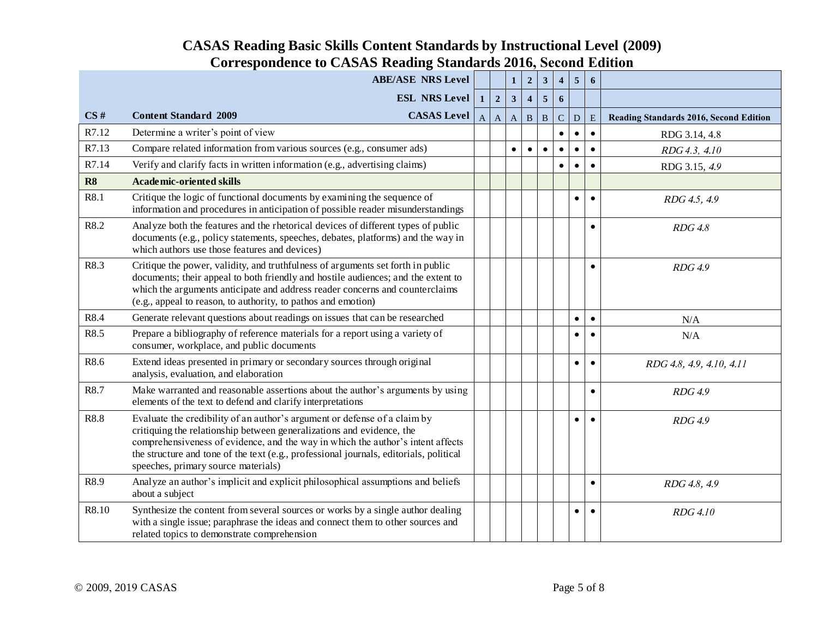|       | <b>ABE/ASE NRS Level</b>                                                                                                                                                                                                                                                                                                                                               |                |                         | $\mathbf{1}$ | $\boldsymbol{2}$        | $\mathbf{3}$   | $\overline{\mathbf{4}}$ | 5            | 6         |                                        |
|-------|------------------------------------------------------------------------------------------------------------------------------------------------------------------------------------------------------------------------------------------------------------------------------------------------------------------------------------------------------------------------|----------------|-------------------------|--------------|-------------------------|----------------|-------------------------|--------------|-----------|----------------------------------------|
|       |                                                                                                                                                                                                                                                                                                                                                                        |                |                         |              |                         |                |                         |              |           |                                        |
|       | <b>ESL NRS Level</b>                                                                                                                                                                                                                                                                                                                                                   | 1 <sup>1</sup> | $\overline{\mathbf{2}}$ | $\mathbf{3}$ | $\overline{\mathbf{4}}$ | $\overline{5}$ | 6                       |              |           |                                        |
| CS#   | <b>CASAS</b> Level<br><b>Content Standard 2009</b>                                                                                                                                                                                                                                                                                                                     | $\mathbf{A}$   | $\mathbf{A}$            | $\mathbf A$  | $\mathbf{B}$            | $\, {\bf B}$   | $\mathbf C$             | $\mathbf{D}$ | E         | Reading Standards 2016, Second Edition |
| R7.12 | Determine a writer's point of view                                                                                                                                                                                                                                                                                                                                     |                |                         |              |                         |                | $\bullet$               | $\bullet$    | $\bullet$ | RDG 3.14, 4.8                          |
| R7.13 | Compare related information from various sources (e.g., consumer ads)                                                                                                                                                                                                                                                                                                  |                |                         | $\bullet$    | $\bullet$               | $\bullet$      | $\bullet$               | $\bullet$    | $\bullet$ | RDG 4.3, 4.10                          |
| R7.14 | Verify and clarify facts in written information (e.g., advertising claims)                                                                                                                                                                                                                                                                                             |                |                         |              |                         |                | $\bullet$               | $\bullet$    | $\bullet$ | RDG 3.15, 4.9                          |
| R8    | <b>Academic-oriented skills</b>                                                                                                                                                                                                                                                                                                                                        |                |                         |              |                         |                |                         |              |           |                                        |
| R8.1  | Critique the logic of functional documents by examining the sequence of<br>information and procedures in anticipation of possible reader misunderstandings                                                                                                                                                                                                             |                |                         |              |                         |                |                         | $\bullet$    | $\bullet$ | RDG 4.5, 4.9                           |
| R8.2  | Analyze both the features and the rhetorical devices of different types of public<br>documents (e.g., policy statements, speeches, debates, platforms) and the way in<br>which authors use those features and devices)                                                                                                                                                 |                |                         |              |                         |                |                         |              | $\bullet$ | RDG4.8                                 |
| R8.3  | Critique the power, validity, and truthfulness of arguments set forth in public<br>documents; their appeal to both friendly and hostile audiences; and the extent to<br>which the arguments anticipate and address reader concerns and counterclaims<br>(e.g., appeal to reason, to authority, to pathos and emotion)                                                  |                |                         |              |                         |                |                         |              | $\bullet$ | RDG 4.9                                |
| R8.4  | Generate relevant questions about readings on issues that can be researched                                                                                                                                                                                                                                                                                            |                |                         |              |                         |                |                         | $\bullet$    | $\bullet$ | N/A                                    |
| R8.5  | Prepare a bibliography of reference materials for a report using a variety of<br>consumer, workplace, and public documents                                                                                                                                                                                                                                             |                |                         |              |                         |                |                         | $\bullet$    | $\bullet$ | N/A                                    |
| R8.6  | Extend ideas presented in primary or secondary sources through original<br>analysis, evaluation, and elaboration                                                                                                                                                                                                                                                       |                |                         |              |                         |                |                         | $\bullet$    | $\bullet$ | RDG 4.8, 4.9, 4.10, 4.11               |
| R8.7  | Make warranted and reasonable assertions about the author's arguments by using<br>elements of the text to defend and clarify interpretations                                                                                                                                                                                                                           |                |                         |              |                         |                |                         |              | $\bullet$ | RDG 4.9                                |
| R8.8  | Evaluate the credibility of an author's argument or defense of a claim by<br>critiquing the relationship between generalizations and evidence, the<br>comprehensiveness of evidence, and the way in which the author's intent affects<br>the structure and tone of the text (e.g., professional journals, editorials, political<br>speeches, primary source materials) |                |                         |              |                         |                |                         | $\bullet$    | $\bullet$ | RDG 4.9                                |
| R8.9  | Analyze an author's implicit and explicit philosophical assumptions and beliefs<br>about a subject                                                                                                                                                                                                                                                                     |                |                         |              |                         |                |                         |              | $\bullet$ | RDG 4.8, 4.9                           |
| R8.10 | Synthesize the content from several sources or works by a single author dealing<br>with a single issue; paraphrase the ideas and connect them to other sources and<br>related topics to demonstrate comprehension                                                                                                                                                      |                |                         |              |                         |                |                         | $\bullet$    | $\bullet$ | RDG 4.10                               |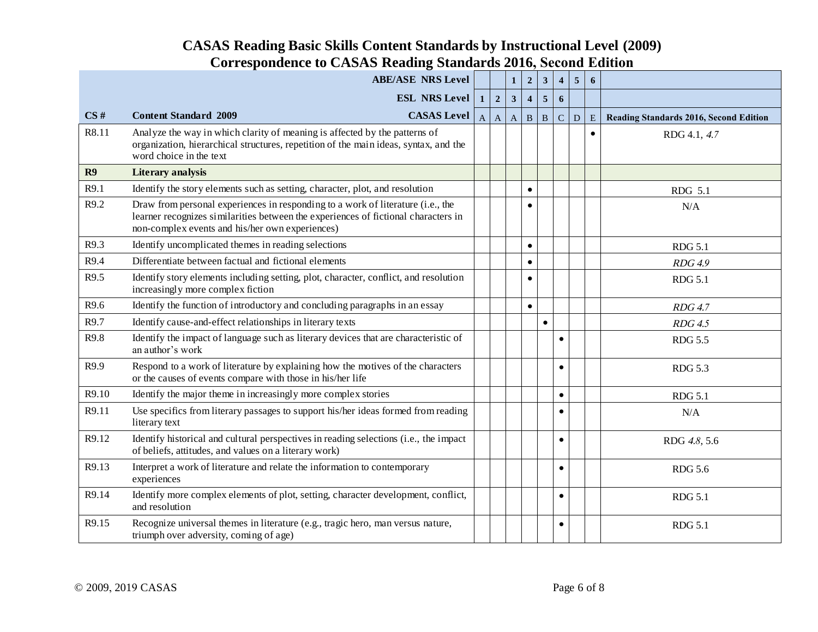|       | <b>ABE/ASE NRS Level</b>                                                                                                                                                                                                 |                |                | $\mathbf{1}$ | $\boldsymbol{2}$        | $\mathbf{3}$ | $\overline{\mathbf{4}}$ | $\overline{5}$ | 6         |                                        |
|-------|--------------------------------------------------------------------------------------------------------------------------------------------------------------------------------------------------------------------------|----------------|----------------|--------------|-------------------------|--------------|-------------------------|----------------|-----------|----------------------------------------|
|       |                                                                                                                                                                                                                          |                |                |              |                         |              |                         |                |           |                                        |
|       | <b>ESL NRS Level</b>                                                                                                                                                                                                     | 1 <sup>1</sup> | $\overline{2}$ | $\mathbf{3}$ | $\overline{\mathbf{4}}$ | 5            | 6                       |                |           |                                        |
| CS#   | <b>CASAS</b> Level<br><b>Content Standard 2009</b>                                                                                                                                                                       | $\mathbf{A}$   | $\mathbf{A}$   | $\mathbf A$  | $\mathbf B$             | $\mathbf{B}$ | $\mathbf C$             | ${\bf D}$      | ${\bf E}$ | Reading Standards 2016, Second Edition |
| R8.11 | Analyze the way in which clarity of meaning is affected by the patterns of<br>organization, hierarchical structures, repetition of the main ideas, syntax, and the<br>word choice in the text                            |                |                |              |                         |              |                         |                | $\bullet$ | RDG 4.1, 4.7                           |
| R9    | <b>Literary</b> analysis                                                                                                                                                                                                 |                |                |              |                         |              |                         |                |           |                                        |
| R9.1  | Identify the story elements such as setting, character, plot, and resolution                                                                                                                                             |                |                |              | $\bullet$               |              |                         |                |           | RDG 5.1                                |
| R9.2  | Draw from personal experiences in responding to a work of literature (i.e., the<br>learner recognizes similarities between the experiences of fictional characters in<br>non-complex events and his/her own experiences) |                |                |              |                         |              |                         |                |           | N/A                                    |
| R9.3  | Identify uncomplicated themes in reading selections                                                                                                                                                                      |                |                |              | $\bullet$               |              |                         |                |           | <b>RDG 5.1</b>                         |
| R9.4  | Differentiate between factual and fictional elements                                                                                                                                                                     |                |                |              | $\bullet$               |              |                         |                |           | RDG 4.9                                |
| R9.5  | Identify story elements including setting, plot, character, conflict, and resolution<br>increasingly more complex fiction                                                                                                |                |                |              | $\bullet$               |              |                         |                |           | <b>RDG 5.1</b>                         |
| R9.6  | Identify the function of introductory and concluding paragraphs in an essay                                                                                                                                              |                |                |              | $\bullet$               |              |                         |                |           | $RDG$ 4.7                              |
| R9.7  | Identify cause-and-effect relationships in literary texts                                                                                                                                                                |                |                |              |                         | $\bullet$    |                         |                |           | RDG4.5                                 |
| R9.8  | Identify the impact of language such as literary devices that are characteristic of<br>an author's work                                                                                                                  |                |                |              |                         |              | $\bullet$               |                |           | <b>RDG 5.5</b>                         |
| R9.9  | Respond to a work of literature by explaining how the motives of the characters<br>or the causes of events compare with those in his/her life                                                                            |                |                |              |                         |              | $\bullet$               |                |           | <b>RDG 5.3</b>                         |
| R9.10 | Identify the major theme in increasingly more complex stories                                                                                                                                                            |                |                |              |                         |              | $\bullet$               |                |           | <b>RDG 5.1</b>                         |
| R9.11 | Use specifics from literary passages to support his/her ideas formed from reading<br>literary text                                                                                                                       |                |                |              |                         |              | $\bullet$               |                |           | N/A                                    |
| R9.12 | Identify historical and cultural perspectives in reading selections (i.e., the impact<br>of beliefs, attitudes, and values on a literary work)                                                                           |                |                |              |                         |              | $\bullet$               |                |           | RDG 4.8, 5.6                           |
| R9.13 | Interpret a work of literature and relate the information to contemporary<br>experiences                                                                                                                                 |                |                |              |                         |              | $\bullet$               |                |           | <b>RDG 5.6</b>                         |
| R9.14 | Identify more complex elements of plot, setting, character development, conflict,<br>and resolution                                                                                                                      |                |                |              |                         |              | $\bullet$               |                |           | <b>RDG 5.1</b>                         |
| R9.15 | Recognize universal themes in literature (e.g., tragic hero, man versus nature,<br>triumph over adversity, coming of age)                                                                                                |                |                |              |                         |              | $\bullet$               |                |           | <b>RDG 5.1</b>                         |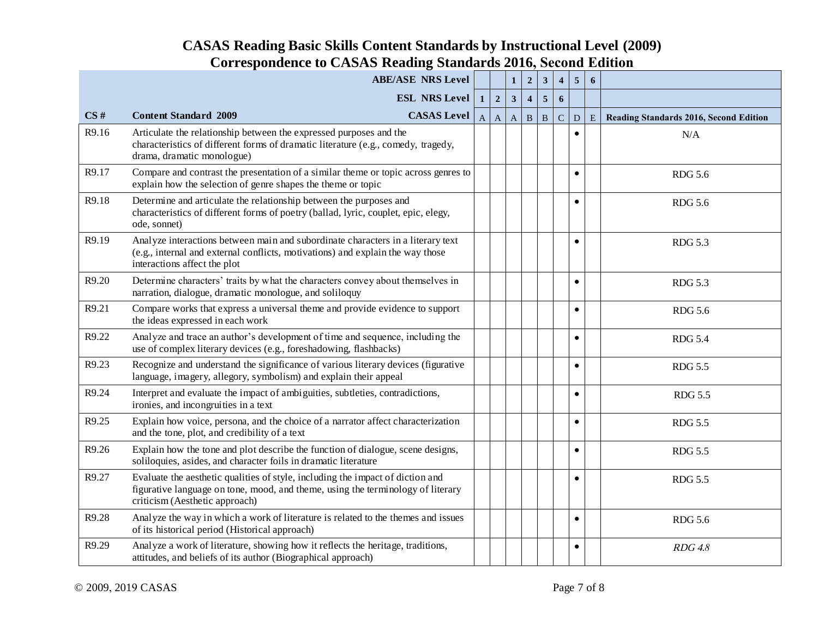|       | <b>ABE/ASE NRS Level</b>                                                                                                                                                                            |              |                         | $\mathbf{1}$ | $\overline{2}$          | $\mathbf{3}$            | $\overline{\mathbf{4}}$ | $\sqrt{5}$     | $\boldsymbol{6}$ |                                               |
|-------|-----------------------------------------------------------------------------------------------------------------------------------------------------------------------------------------------------|--------------|-------------------------|--------------|-------------------------|-------------------------|-------------------------|----------------|------------------|-----------------------------------------------|
|       | <b>ESL NRS Level</b>                                                                                                                                                                                | $\mathbf{1}$ | $\overline{\mathbf{c}}$ | $\mathbf{3}$ | $\overline{\mathbf{4}}$ | $\overline{\mathbf{5}}$ | 6                       |                |                  |                                               |
| CS#   | <b>Content Standard 2009</b><br><b>CASAS</b> Level                                                                                                                                                  |              | $A \mid A$              | $\mathbf{A}$ | $\, {\bf B}$            | $\, {\bf B}$            | $\mathbf C$             | $\overline{D}$ | E                | <b>Reading Standards 2016, Second Edition</b> |
| R9.16 | Articulate the relationship between the expressed purposes and the<br>characteristics of different forms of dramatic literature (e.g., comedy, tragedy,<br>drama, dramatic monologue)               |              |                         |              |                         |                         |                         | $\bullet$      |                  | N/A                                           |
| R9.17 | Compare and contrast the presentation of a similar theme or topic across genres to<br>explain how the selection of genre shapes the theme or topic                                                  |              |                         |              |                         |                         |                         | $\bullet$      |                  | <b>RDG 5.6</b>                                |
| R9.18 | Determine and articulate the relationship between the purposes and<br>characteristics of different forms of poetry (ballad, lyric, couplet, epic, elegy,<br>ode, sonnet)                            |              |                         |              |                         |                         |                         | $\bullet$      |                  | <b>RDG 5.6</b>                                |
| R9.19 | Analyze interactions between main and subordinate characters in a literary text<br>(e.g., internal and external conflicts, motivations) and explain the way those<br>interactions affect the plot   |              |                         |              |                         |                         |                         | $\bullet$      |                  | <b>RDG 5.3</b>                                |
| R9.20 | Determine characters' traits by what the characters convey about themselves in<br>narration, dialogue, dramatic monologue, and soliloquy                                                            |              |                         |              |                         |                         |                         | $\bullet$      |                  | <b>RDG 5.3</b>                                |
| R9.21 | Compare works that express a universal theme and provide evidence to support<br>the ideas expressed in each work                                                                                    |              |                         |              |                         |                         |                         | $\bullet$      |                  | <b>RDG 5.6</b>                                |
| R9.22 | Analyze and trace an author's development of time and sequence, including the<br>use of complex literary devices (e.g., foreshadowing, flashbacks)                                                  |              |                         |              |                         |                         |                         | $\bullet$      |                  | <b>RDG 5.4</b>                                |
| R9.23 | Recognize and understand the significance of various literary devices (figurative<br>language, imagery, allegory, symbolism) and explain their appeal                                               |              |                         |              |                         |                         |                         | $\bullet$      |                  | <b>RDG 5.5</b>                                |
| R9.24 | Interpret and evaluate the impact of ambiguities, subtleties, contradictions,<br>ironies, and incongruities in a text                                                                               |              |                         |              |                         |                         |                         | $\bullet$      |                  | <b>RDG 5.5</b>                                |
| R9.25 | Explain how voice, persona, and the choice of a narrator affect characterization<br>and the tone, plot, and credibility of a text                                                                   |              |                         |              |                         |                         |                         | $\bullet$      |                  | <b>RDG 5.5</b>                                |
| R9.26 | Explain how the tone and plot describe the function of dialogue, scene designs,<br>soliloquies, asides, and character foils in dramatic literature                                                  |              |                         |              |                         |                         |                         | $\bullet$      |                  | <b>RDG 5.5</b>                                |
| R9.27 | Evaluate the aesthetic qualities of style, including the impact of diction and<br>figurative language on tone, mood, and theme, using the terminology of literary<br>criticism (Aesthetic approach) |              |                         |              |                         |                         |                         | $\bullet$      |                  | <b>RDG 5.5</b>                                |
| R9.28 | Analyze the way in which a work of literature is related to the themes and issues<br>of its historical period (Historical approach)                                                                 |              |                         |              |                         |                         |                         | $\bullet$      |                  | <b>RDG 5.6</b>                                |
| R9.29 | Analyze a work of literature, showing how it reflects the heritage, traditions,<br>attitudes, and beliefs of its author (Biographical approach)                                                     |              |                         |              |                         |                         |                         | ٠              |                  | RDG4.8                                        |